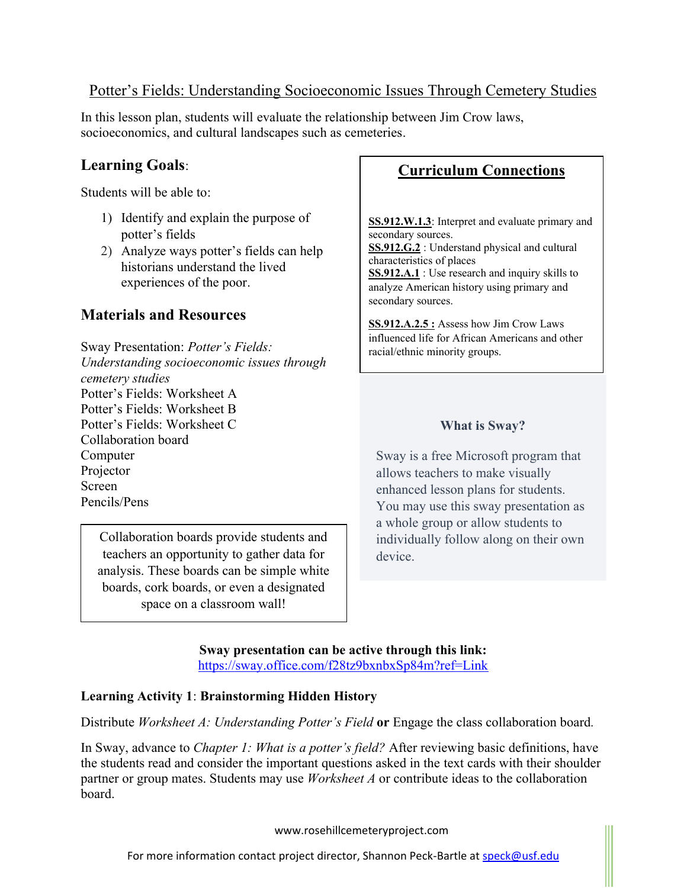## Potter's Fields: Understanding Socioeconomic Issues Through Cemetery Studies

In this lesson plan, students will evaluate the relationship between Jim Crow laws, socioeconomics, and cultural landscapes such as cemeteries.

# **Learning Goals**:

Students will be able to:

- 1) Identify and explain the purpose of potter's fields
- 2) Analyze ways potter's fields can help historians understand the lived experiences of the poor.

## **Materials and Resources**

Sway Presentation: *Potter's Fields: Understanding socioeconomic issues through cemetery studies* Potter's Fields: Worksheet A Potter's Fields: Worksheet B Potter's Fields: Worksheet C Collaboration board Computer Projector Screen Pencils/Pens

Collaboration boards provide students and teachers an opportunity to gather data for analysis. These boards can be simple white boards, cork boards, or even a designated space on a classroom wall!

# **Curriculum Connections**

**SS.912.W.1.3**: Interpret and evaluate primary and secondary sources. **SS.912.G.2** : Understand physical and cultural characteristics of places **SS.912.A.1** : Use research and inquiry skills to analyze American history using primary and secondary sources.

**SS.912.A.2.5 :** Assess how Jim Crow Laws influenced life for African Americans and other racial/ethnic minority groups.

### **What is Sway?**

Sway is a free Microsoft program that allows teachers to make visually enhanced lesson plans for students. You may use this sway presentation as a whole group or allow students to individually follow along on their own device.

**Sway presentation can be active through this link:** https://sway.office.com/f28tz9bxnbxSp84m?ref=Link

### **Learning Activity 1**: **Brainstorming Hidden History**

Distribute *Worksheet A: Understanding Potter's Field* **or** Engage the class collaboration board*.*

In Sway, advance to *Chapter 1: What is a potter's field?* After reviewing basic definitions, have the students read and consider the important questions asked in the text cards with their shoulder partner or group mates. Students may use *Worksheet A* or contribute ideas to the collaboration board.